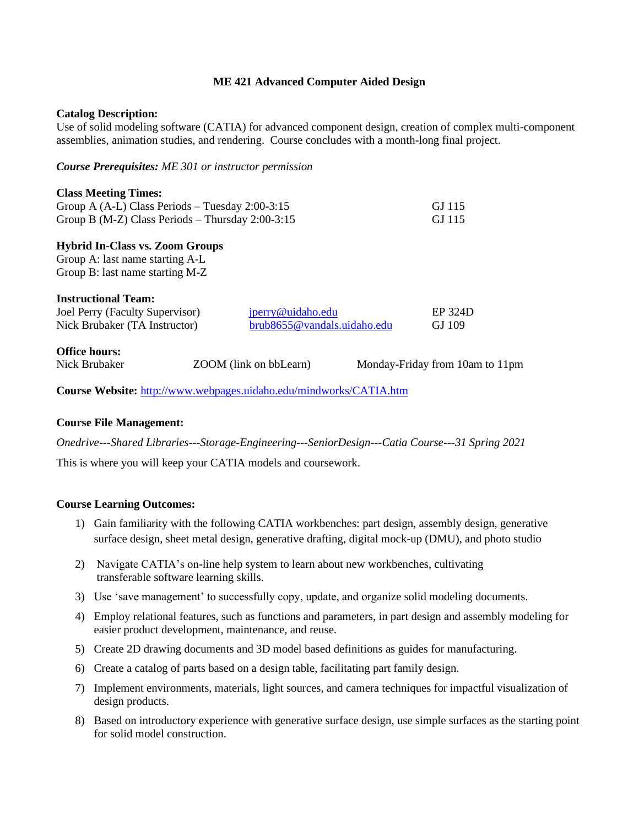### **ME 421 Advanced Computer Aided Design**

### **Catalog Description:**

Use of solid modeling software (CATIA) for advanced component design, creation of complex multi-component assemblies, animation studies, and rendering. Course concludes with a month-long final project.

*Course Prerequisites: ME 301 or instructor permission*

| <b>Class Meeting Times:</b><br>Group A $(A-L)$ Class Periods – Tuesday 2:00-3:15<br>Group B (M-Z) Class Periods - Thursday $2:00-3:15$ | GJ 115<br>GJ 115                                 |  |                                 |  |
|----------------------------------------------------------------------------------------------------------------------------------------|--------------------------------------------------|--|---------------------------------|--|
| <b>Hybrid In-Class vs. Zoom Groups</b><br>Group A: last name starting A-L<br>Group B: last name starting M-Z                           |                                                  |  |                                 |  |
| <b>Instructional Team:</b><br>Joel Perry (Faculty Supervisor)<br>Nick Brubaker (TA Instructor)                                         | jperry@uidaho.edu<br>brub8655@vandals.uidaho.edu |  | EP 324D<br>GJ 109               |  |
| <b>Office hours:</b><br>Nick Brubaker                                                                                                  | ZOOM (link on bbLearn)                           |  | Monday-Friday from 10am to 11pm |  |

**Course Website:** <http://www.webpages.uidaho.edu/mindworks/CATIA.htm>

## **Course File Management:**

*Onedrive---Shared Libraries---Storage-Engineering---SeniorDesign---Catia Course---31 Spring 2021*

This is where you will keep your CATIA models and coursework.

## **Course Learning Outcomes:**

- 1) Gain familiarity with the following CATIA workbenches: part design, assembly design, generative surface design, sheet metal design, generative drafting, digital mock-up (DMU), and photo studio
- 2) Navigate CATIA's on-line help system to learn about new workbenches, cultivating transferable software learning skills.
- 3) Use 'save management' to successfully copy, update, and organize solid modeling documents.
- 4) Employ relational features, such as functions and parameters, in part design and assembly modeling for easier product development, maintenance, and reuse.
- 5) Create 2D drawing documents and 3D model based definitions as guides for manufacturing.
- 6) Create a catalog of parts based on a design table, facilitating part family design.
- 7) Implement environments, materials, light sources, and camera techniques for impactful visualization of design products.
- 8) Based on introductory experience with generative surface design, use simple surfaces as the starting point for solid model construction.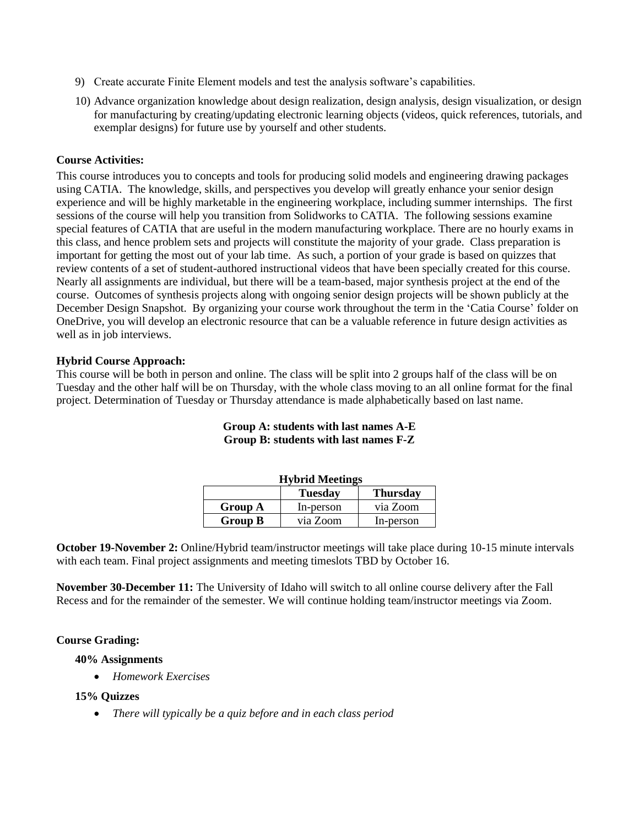- 9) Create accurate Finite Element models and test the analysis software's capabilities.
- 10) Advance organization knowledge about design realization, design analysis, design visualization, or design for manufacturing by creating/updating electronic learning objects (videos, quick references, tutorials, and exemplar designs) for future use by yourself and other students.

### **Course Activities:**

This course introduces you to concepts and tools for producing solid models and engineering drawing packages using CATIA. The knowledge, skills, and perspectives you develop will greatly enhance your senior design experience and will be highly marketable in the engineering workplace, including summer internships. The first sessions of the course will help you transition from Solidworks to CATIA. The following sessions examine special features of CATIA that are useful in the modern manufacturing workplace. There are no hourly exams in this class, and hence problem sets and projects will constitute the majority of your grade. Class preparation is important for getting the most out of your lab time. As such, a portion of your grade is based on quizzes that review contents of a set of student-authored instructional videos that have been specially created for this course. Nearly all assignments are individual, but there will be a team-based, major synthesis project at the end of the course. Outcomes of synthesis projects along with ongoing senior design projects will be shown publicly at the December Design Snapshot. By organizing your course work throughout the term in the 'Catia Course' folder on OneDrive, you will develop an electronic resource that can be a valuable reference in future design activities as well as in job interviews.

### **Hybrid Course Approach:**

This course will be both in person and online. The class will be split into 2 groups half of the class will be on Tuesday and the other half will be on Thursday, with the whole class moving to an all online format for the final project. Determination of Tuesday or Thursday attendance is made alphabetically based on last name.

| <b>Hybrid Meetings</b> |                |                 |  |  |  |
|------------------------|----------------|-----------------|--|--|--|
|                        | <b>Tuesday</b> | <b>Thursday</b> |  |  |  |
| <b>Group A</b>         | In-person      | via Zoom        |  |  |  |
| <b>Group B</b>         | via Zoom       | In-person       |  |  |  |

# **Group A: students with last names A-E Group B: students with last names F-Z**

**October 19-November 2:** Online/Hybrid team/instructor meetings will take place during 10-15 minute intervals with each team. Final project assignments and meeting timeslots TBD by October 16.

**November 30-December 11:** The University of Idaho will switch to all online course delivery after the Fall Recess and for the remainder of the semester. We will continue holding team/instructor meetings via Zoom.

#### **Course Grading:**

## **40% Assignments**

• *Homework Exercises*

### **15% Quizzes**

• *There will typically be a quiz before and in each class period*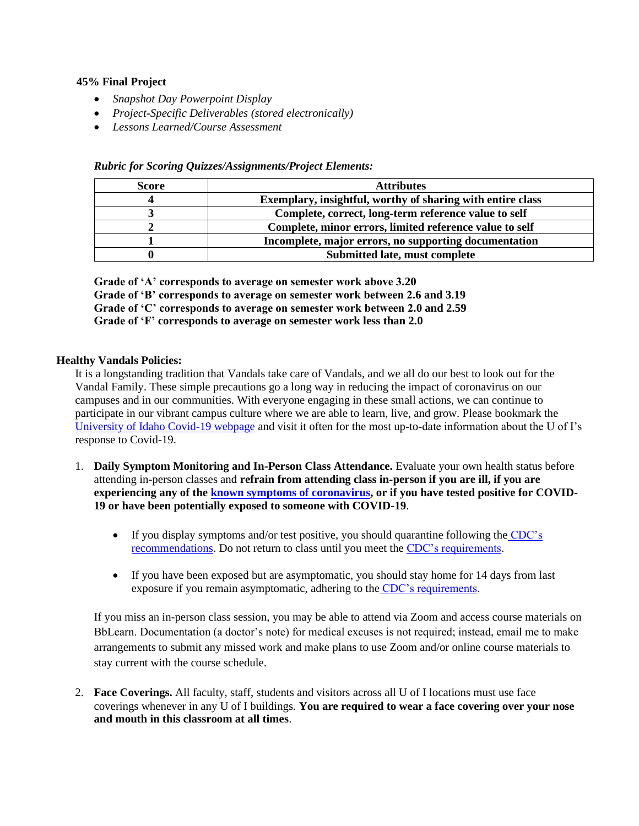## **45% Final Project**

- *Snapshot Day Powerpoint Display*
- *Project-Specific Deliverables (stored electronically)*
- *Lessons Learned/Course Assessment*

| <b>Score</b> | <b>Attributes</b>                                          |  |  |
|--------------|------------------------------------------------------------|--|--|
|              | Exemplary, insightful, worthy of sharing with entire class |  |  |
|              | Complete, correct, long-term reference value to self       |  |  |
|              | Complete, minor errors, limited reference value to self    |  |  |
|              | Incomplete, major errors, no supporting documentation      |  |  |
|              | <b>Submitted late, must complete</b>                       |  |  |

*Rubric for Scoring Quizzes/Assignments/Project Elements:*

**Grade of 'A' corresponds to average on semester work above 3.20 Grade of 'B' corresponds to average on semester work between 2.6 and 3.19 Grade of 'C' corresponds to average on semester work between 2.0 and 2.59 Grade of 'F' corresponds to average on semester work less than 2.0**

## **Healthy Vandals Policies:**

It is a longstanding tradition that Vandals take care of Vandals, and we all do our best to look out for the Vandal Family. These simple precautions go a long way in reducing the impact of coronavirus on our campuses and in our communities. With everyone engaging in these small actions, we can continue to participate in our vibrant campus culture where we are able to learn, live, and grow. Please bookmark the [University of Idaho Covid-19 webpage](https://www.uidaho.edu/vandal-health-clinic/coronavirus) and visit it often for the most up-to-date information about the U of I's response to Covid-19.

- 1. **Daily Symptom Monitoring and In-Person Class Attendance.** Evaluate your own health status before attending in-person classes and **refrain from attending class in-person if you are ill, if you are experiencing any of the [known symptoms of coronavirus,](https://www.cdc.gov/coronavirus/2019-ncov/symptoms-testing/symptoms.html) or if you have tested positive for COVID-19 or have been potentially exposed to someone with COVID-19**.
	- If you display symptoms and/or test positive, you should quarantine following the CDC's [recommendations.](https://www.cdc.gov/coronavirus/2019-ncov/if-you-are-sick/steps-when-sick.html) Do not return to class until you meet the [CDC's requirements.](https://www.cdc.gov/coronavirus/2019-ncov/if-you-are-sick/end-home-isolation.html?CDC_AA_refVal=https%3A%2F%2Fwww.cdc.gov%2Fcoronavirus%2F2019-ncov%2Fprevent-getting-sick%2Fwhen-its-safe.html)
	- If you have been exposed but are asymptomatic, you should stay home for 14 days from last exposure if you remain asymptomatic, adhering to the [CDC's requirements.](https://www.cdc.gov/coronavirus/2019-ncov/if-you-are-sick/end-home-isolation.html?CDC_AA_refVal=https%3A%2F%2Fwww.cdc.gov%2Fcoronavirus%2F2019-ncov%2Fprevent-getting-sick%2Fwhen-its-safe.html)

If you miss an in-person class session, you may be able to attend via Zoom and access course materials on BbLearn. Documentation (a doctor's note) for medical excuses is not required; instead, email me to make arrangements to submit any missed work and make plans to use Zoom and/or online course materials to stay current with the course schedule.

2. **Face Coverings.** All faculty, staff, students and visitors across all U of I locations must use face coverings whenever in any U of I buildings. **You are required to wear a face covering over your nose and mouth in this classroom at all times**.